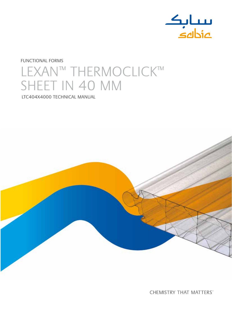

FUNCTIONAL FORMS

# LEXAN™ THERMOCLICK™ SHEET IN 40 MM

LTC404X4000 TECHNICAL MANUAL



**CHEMISTRY THAT MATTERS**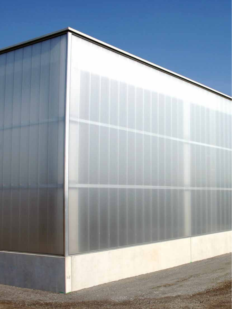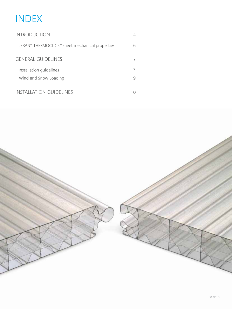## INDEX

| <b>INTRODUCTION</b>                             |   |
|-------------------------------------------------|---|
| LEXAN™ THERMOCLICK™ sheet mechanical properties | ൳ |
| <b>GENERAL GUIDELINES</b>                       |   |
| Installation guidelines                         |   |
| Wind and Snow Loading                           | q |
| <b>INSTALLATION GUIDELINES</b>                  |   |

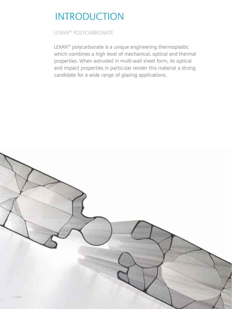## INTRODUCTION

## LEXAN™ POLYCARBONATE

LEXAN™ polycarbonate is a unique engineering thermoplastic which combines a high level of mechanical, optical and thermal properties. When extruded in multi-wall sheet form, its optical and impact properties in particular render this material a strong candidate for a wide range of glazing applications.

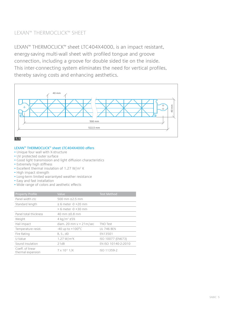## LEXAN™ THERMOCLICK™ SHEET

LEXAN™ THERMOCLICK™ sheet LTC404X4000, is an impact resistant, energy-saving multi-wall sheet with profiled tongue and groove connection, including a groove for double sided tie on the inside. This inter-connecting system eliminates the need for vertical profiles, thereby saving costs and enhancing aesthetics.



#### LEXAN™ THERMOCLICK™ sheet LTC404X4000 offers

- Unique four wall with X-structure
- UV protected outer surface
- Good light transmission and light diffusion characteristics
- Extremely high stiffness
- Excellent thermal insulation of 1.27 W/m<sup>2</sup> K
- High impact strength
- Long-term limited warrantyed weather resistance
- Easy and fast installation
- Wide range of colors and aesthetic effects

| <b>Property Profile</b>               | Value                        | <b>Test Method</b>  |
|---------------------------------------|------------------------------|---------------------|
| Panel width ctc                       | 500 mm ±2.5 mm               |                     |
| Standard length                       | $\leq 6$ meter -0 +20 mm     |                     |
|                                       | $> 6$ meter -0 +30 mm        |                     |
| Panel total thickness                 | 40 mm ±0.8 mm                |                     |
| Weight                                | 4 kg/m <sup>2</sup> $\pm$ 5% |                     |
| Hail impact                           | diam. 20 mm $v = 21m/sec$    | <b>TNO Test</b>     |
| Temperature resist.                   | $-40$ up to $+100^{\circ}$ C | <b>UL 746 BEN</b>   |
| Fire Rating                           | B, S <sub>1</sub> , d0       | EN13501             |
| U-Value                               | 1.27 W/m <sup>2</sup> K      | ISO 10077 (EN673)   |
| Sound insulation                      | 21dB                         | EN ISO 10140-2:2010 |
| Coeff, of linear<br>thermal expansion | $7 \times 10^{-5}$ 1/K       | ISO 11359-2         |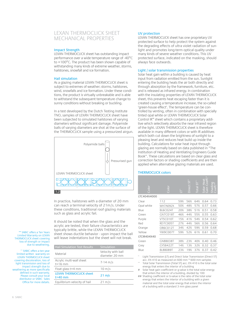### LEXAN THERMOCLICK SHEET MECHANICAL PROPERTIES

#### Impact Strength

LEXAN THERMOCLICK sheet has outstanding impact performance over a wide temperature range of -40°C to +100°C. The product has been shown capable of withstanding many kinds of extreme weather, storms, hailstones, snowfall and ice formation.

#### Hail simulation

As a glazing material LEXAN THERMOCLICK sheet is subject to extremes of weather; storms, hailstones, wind, snowfalls and ice formation. Under these conditions, the product is virtually unbreakable and is able to withstand the subsequent temperature change to sunny conditions without breaking or buckling.

In a test developed by the Dutch Testing Institute TNO, samples of LEXAN THERMOCLICK sheet have been subjected to simulated hailstones of varying diameters without significant damage. Polyamide balls of varying diameters are shot at the surface of the THERMOCLICK sample using a pressurized airgun.



In practice, hailstones with a diameter of 20 mm can reach a terminal velocity of 21m/s. Under these conditions, traditional roof glazing materials such as glass and acrylic fail.

It should be noted that when the glass and the acrylic are tested, their failure characteristics are typically brittle, while the LEXAN THERMOCLICK sheet shows ductile behavior - upon impact the ball will leave indentations but the sheet will not break.

Hail Simulation Test Results Simulation Material Velocity with ball diameter 20 mm Acrylic multi-wall sheet  $t=16$  mm  $t=16$  mm Float glass  $t=4$  mm  $10$  m/s LEXAN THERMOCLICK sheet t=40 mm 21 m/s Equilibrium velocity of hail 21 m/s

#### UV protection

LEXAN THERMOCLICK sheet has one proprietary UV protected surface to help protect the system against the degrading effects of ultra violet radiation of sunlight and promotes long-term optical quality under many kinds of severe weather conditions. This UV protected surface, indicated on the masking, should always face outwards.

#### Light / solar transmission properties

Solar heat gain within a building is caused by heat input from radiation emitted from the sun. Sunlight entering the building heats the air both directly and through absorption by the framework, furniture, etc. and is released as infrared energy. In combination with the insulating properties of LEXAN THERMOCLICK sheet, this prevents heat escaping faster than it is created causing a temperature increase, the so-called 'green-house effect'. The temperature can be controlled by venting, often in combination with specially tinted opal white or LEXAN THERMOCLICK Solar Control IR™ sheet which contains a proprietary additive which selectively absorbs the near infrared region of the light. LEXAN THERMOCLICK sheet is therefore available in many different colors or with IR additives which both cut down the brightness of sunlight to a pleasing level and reduces heat build up inside the building. Calculations for solar heat input through glazing are normally based on data published in "The Institution of Heating and Ventilating Engineers Guide Book". These calculations are based on clear glass and correction factors or shading coefficients and are then applied when alternative glazing materials are used.

#### THERMOCLICK colors

| iga<br>jet<br>in<br><u>ግ</u> ።<br>$\sim$<br>чą,<br>т<br>$\cup$<br>ť<br>of the<br>ㅎ<br>ptal<br><b>College</b><br>7 m<br>G<br>G<br>iei<br>O<br>$\overline{u}$<br>œ<br>$\overline{\mathbb{C}}$<br>$\overline{\sigma}$<br>iā,<br>$\overline{\circ}$<br>G<br>G<br>va,<br>≂<br>Ù<br>○<br>$\overline{C}$<br>$\sim$ |
|-------------------------------------------------------------------------------------------------------------------------------------------------------------------------------------------------------------------------------------------------------------------------------------------------------------|
|-------------------------------------------------------------------------------------------------------------------------------------------------------------------------------------------------------------------------------------------------------------------------------------------------------------|

| LTC404X4000        |                 |     |     |     |      |      |
|--------------------|-----------------|-----|-----|-----|------|------|
| Clear              | 112             | 59% | 56% | 64% | 0.64 | 0.73 |
| Opal white         | <b>WH7A092X</b> | 50% | 48% | 57% | 0.57 | 0.66 |
| Blue               | BL6C024T        | 20% | 38% | 51% | 0.51 | 0.58 |
| Green              | GN7C018T        | 46% | 44% | 55% | 0.55 | 0.63 |
| Purple             | VT5C010T        | 15% | 41% | 54% | 0.54 | 0.62 |
| Red                | RD7C005T        | 27% | 44% | 56% | 0.56 | 0.64 |
| Orange             | OR6C012T        | 34% | 42% | 59% | 0.59 | 0.68 |
| Yellow             | <b>YW9C007T</b> | 59% | 52% | 61% | 0.61 | 0.70 |
| <b>LTCIR404X40</b> |                 |     |     |     |      |      |
| Green              | GN8B038T        | 38% | 23% | 40% | 0.40 | 0.46 |
| Grey               | GY5B422T        | 14% | 13% | 32% | 0.32 | 0.37 |
| Blue               | BL8B089T        | 23% | 19% | 37% | 0.37 | 0.42 |

Light Transmission (LT) and Direct Solar Transmission (Direct ST) acc. EN 410 as measured on 600 mm ™ 600 mm samples

\*\*\* Total Solar Transmission (Total ST) acc. EN 410 is the total solar energy that enters the interior of a building

Solar heat gain coefficient or g-value is the total solar energy that enters the interior of a building, divided by 100

## Shading coefficient or b-value is the ratio of the total solar energy that enters the interior of a building with a given material and the total solar energy that enters the interior of a building with a standard 3 mm glass panel

\*\* SABIC offers a Ten Years Limited Warranty on LEXAN THERMOCLICK sheet covering loss of strength or impact due to weathering.

\*\*\* SABIC offers a ten year limited written warranty on LEXAN THERMOCLICK sheet covering discoloration, loss of light transmission and loss of impact strength due to weathering as more specifically defined in such warranty. Please consult your local distributor or SABIC Sales Office for more details.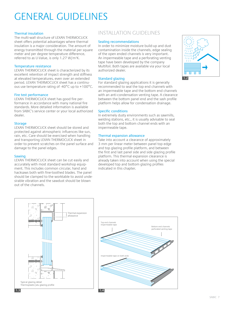## GENERAL GUIDELINES

#### Thermal insulation

The multi-wall structure of LEXAN THERMOCLICK sheet offers potential advantages where thermal insulation is a major consideration. The amount of energy transmitted through the material per square meter and per degree temperature difference, referred to as U-Value, is only 1.27 W/m2K.

#### Temperature resistance

LEXAN THERMOCLICK sheet is characterized by its excellent retention of impact strength and stiffness at elevated temperatures, even over an extended period. LEXAN THERMOCLICK sheet has a continuous use temperature rating of -40°C up to +100°C.

#### Fire test performance

LEXAN THERMOCLICK sheet has good fire performance in accordance with many national fire standards. More detailed information is available from SABIC's service center or your local authorized dealer.

#### **Storage**

LEXAN THERMOCLICK sheet should be stored and protected against atmospheric influences like sun, rain, etc. Care should be exercised when handling and transporting LEXAN THERMOCLICK sheet in order to prevent scratches on the panel surface and damage to the panel edges.

#### Sawing

LEXAN THERMOCLICK sheet can be cut easily and accurately with most standard workshop equipment. This includes common circular, hand and hacksaws both with fine-toothed blades. The panel should be clamped to the worktable to avoid undesirable vibration and the sawdust should be blown out of the channels.

## INSTALLATION GUIDELINES

#### Sealing recommendations

In order to minimize moisture build-up and dust contamination inside the channels, edge sealing of the open ended channels is very important. An impermeable tape and a perforating venting tape have been developed by the company Multifoil. Both tapes are available via your local authorized dealer.

#### Standard glazing

For standard glazing applications it is generally recommended to seal the top end channels with an impermeable tape and the bottom end channels with an anti-condensation venting tape. A clearance between the bottom panel end and the sash profile platform helps allow for condensation drainage.

#### Specific conditions

In extremely dusty environments such as sawmills, welding stations, etc., it is usually advisable to seal both the top and bottom channel ends with an impermeable tape.

#### Thermal expansion allowance

Take into account a clearance of approximately 3 mm per linear meter between panel top edge and top glazing profile platform, and between the first and last panel side and side glazing profile platform. This thermal expansion clearance is already taken into account when using the special developed top and bottom glazing profiles indicated in this chapter.





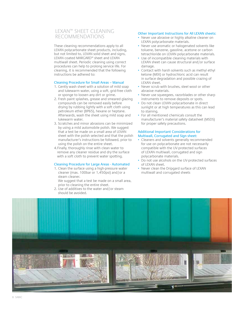### LEXAN™ SHEET CLEANING RECOMMENDATIONS

These cleaning recommendations apply to all LEXAN polycarbonate sheet products, including, but not limited to, LEXAN solid sheet and signs, LEXAN coated MARGARD™ sheet and LEXAN multiwall sheet. Periodic cleaning using correct procedures can help to prolong service life. For cleaning, it is recommended that the following instructions be adhered to:

#### Cleaning Procedure for Small Areas – Manual

- 1. Gently wash sheet with a solution of mild soap and lukewarm water, using a soft, grid-free cloth or sponge to loosen any dirt or grime.
- 2. Fresh paint splashes, grease and smeared glazing compounds can be removed easily before drying by rubbing lightly with a soft cloth using petroleum ether (BP65), hexane or heptane. Afterwards, wash the sheet using mild soap and lukewarm water.
- 3. Scratches and minor abrasions can be minimized by using a mild automobile polish. We suggest that a test be made on a small area of LEXAN sheet with the polish selected and that the polish manufacturer's instructions be followed, prior to using the polish on the entire sheet.
- 4.Finally, thoroughly rinse with clean water to remove any cleaner residue and dry the surface with a soft cloth to prevent water spotting.

#### Cleaning Procedure for Large Areas - Automated

1. Clean the surface using a high-pressure water cleaner (max. 100bar or 1,450psi) and/or a steam cleaner.

We suggest that a test be made on a small area, prior to cleaning the entire sheet.

2. Use of additives to the water and/or steam should be avoided.

#### Other Important Instructions for All LEXAN sheets:

- Never use abrasive or highly alkaline cleaner on LEXAN polycarbonate materials.
- Never use aromatic or halogenated solvents like toluene, benzene, gasoline, acetone or carbon tetrachloride on LEXAN polycarbonate materials.
- Use of incompatible cleaning materials with LEXAN sheet can cause structural and/or surface damage.
- Contact with harsh solvents such as methyl ethyl ketone (MEK) or hydrochloric acid can result in surface degradation and possible crazing of LEXAN sheet.
- Never scrub with brushes, steel wool or other abrasive materials.
- Never use squeegees, razorblades or other sharp instruments to remove deposits or spots.
- Do not clean LEXAN polycarbonate in direct sunlight or at high temperatures as this can lead to staining.
- For all mentioned chemicals consult the manufacturer's material safety datasheet (MSDS) for proper safety precautions.

#### Additional Important Considerations for Multiwall, Corrugated and Sign sheet:

- Cleaners and solvents generally recommended for use on polycarbonate are not necessarily compatible with the UV-protected surfaces of LEXAN multiwall, corrugated and sign polycarbonate materials.
- Do not use alcohols on the UV-protected surfaces of LEXAN sheet.
- Never clean the Dripgard surface of LEXAN multiwall and corrugated sheets

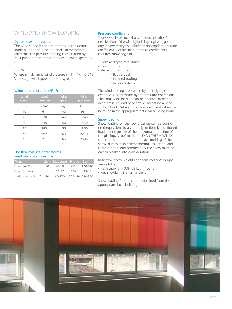## WIND AND SNOW LOADING

#### Dynamic wind pressure

The wind speed is used to determine the actual loading upon the glazing panels. In mathematical terms, the pressure loading is calculated by multiplying the square of the design wind speed by 0.613.

#### $p = KV^2$

Where  $p =$  dynamic wind pressure in N/m<sup>2</sup> K = 0.613  $V =$  design wind speed in meters/second

#### Values of p in SI units (N/m2)

| Wind<br>speed | Wind<br>pressure | Wind<br>speed | Wind<br>pressure |
|---------------|------------------|---------------|------------------|
| m/s           | N/m <sup>2</sup> | m/s           | N/m <sup>2</sup> |
| 10            | 61               | 40            | 981              |
| 15            | 138              | 45            | 1240             |
| 20            | 245              | 50            | 1530             |
| 25            | 383              | 55            | 1850             |
| 30            | 552              | 60            | 2210             |
| 35            | 751              | 65            | 2590             |

#### The Beaufort scale transforms wind into static pressure

| Wind                         |     | Light Moderate Strong Storm |                |  |
|------------------------------|-----|-----------------------------|----------------|--|
| Speed (km/h)                 | 20. | 40-60                       | 80-100 120-140 |  |
| Speed (m/sec)                | 6.  | 11-17                       | 22-28 33-39    |  |
| Static pressure $(N/m^2)$ 20 |     | 80-170 300-480 680-950      |                |  |

#### Pressure coefficient

To allow for local fluctuations in the acceleration/ deceleration of the wind by building or glazing geometry, it is necessary to include an appropriate pressure coefficient. Determining pressure coefficients requires knowledge of

- Form and type of building
- Height of glazing
- Shape of glazing e.g.
	- flat vertical
		- inclined roofing
		- curved glazing

The wind loading is obtained by multiplying the dynamic wind pressure by the pressure coefficient. The total wind loading can be positive indicating a wind pressure load or negative indicating a wind suction load. Detailed pressure coefficient values can be found in the appropriate national building norms.

#### Snow loading

Snow loading on the roof glazings can be considered equivalent to a vertically, uniformly distributed load, acting per m<sup>2</sup> of the horizontal projection of the glazing. A roof made of LEXAN THERMOCLICK sheet does not permit immediate melting of the snow, due to its excellent thermal insulation, and therefore the load produced by the snow must be carefully taken into consideration.

Indicative snow weights per centimeter of height are as follows

- fresh snowfall 0.8-1.9 kg/m2 per cmh
- wet snowfall 2-8 kg/m<sup>2</sup> per cmh

Snow loading factors can be obtained from the appropriate local building norm.

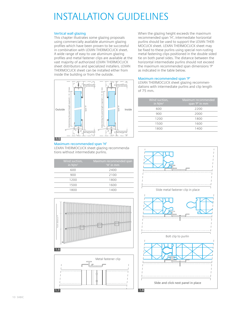## INSTALLATION GUIDELINES

#### Vertical wall glazing

This chapter illustrates some glazing proposals using commercially available aluminum glazing profiles which have been proven to be successful in combination with LEXAN THERMOCLICK sheet. A wide range of easy to use aluminum glazing profiles and metal fastener clips are available at the vast majority of authorized LEXAN THERMOCLICK sheet distributors and specialized installers. LEXAN THERMOCLICK sheet can be installed either from inside the building or from the outside.



#### Maximum recommended span 'H'

LEXAN THERMOCLICK sheet glazing recommendations without intermediate purlins.

| Wind suction,<br>in $N/m^2$ | Maximum recommended span<br>$'H'$ in mm |
|-----------------------------|-----------------------------------------|
| 600                         | 2400                                    |
| 900                         | 2100                                    |
| 1200                        | 1800                                    |
| 1500                        | 1600                                    |
| 1800                        | 1400                                    |





When the glazing height exceeds the maximum recommended span 'H', intermediate horizontal purlins should be used to support the LEXAN THER-MOCLICK sheet. LEXAN THERMOCLICK sheet may be fixed to these purlins using special non-rusting metal fastening clips positioned in the double sided tie on both panel sides. The distance between the horizontal intermediate purlins should not exceed the maximum recommended span dimensions 'P' as indicated in the table below.

#### Maximum recommended span 'P'

LEXAN THERMOCLICK sheet glazing recommendations with intermediate purlins and clip length of 75 mm.

| Wind suction,<br>in $N/m^2$ | Maximum recommended<br>span 'P' in mm |
|-----------------------------|---------------------------------------|
| 600                         | 2200                                  |
| 900                         | 2000                                  |
| 1200                        | 1800                                  |
| 1500                        | 1600                                  |
| 1800                        | 1400                                  |
|                             |                                       |

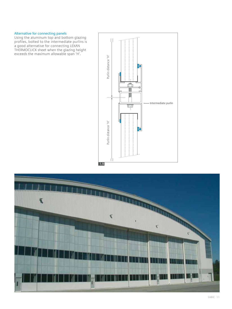#### Alternative for connecting panels

Using the aluminum top and bottom glazing profiles, bolted to the intermediate purlins is a good alternative for connecting LEXAN THERMOCLICK sheet when the glazing height exceeds the maximum allowable span 'H'.